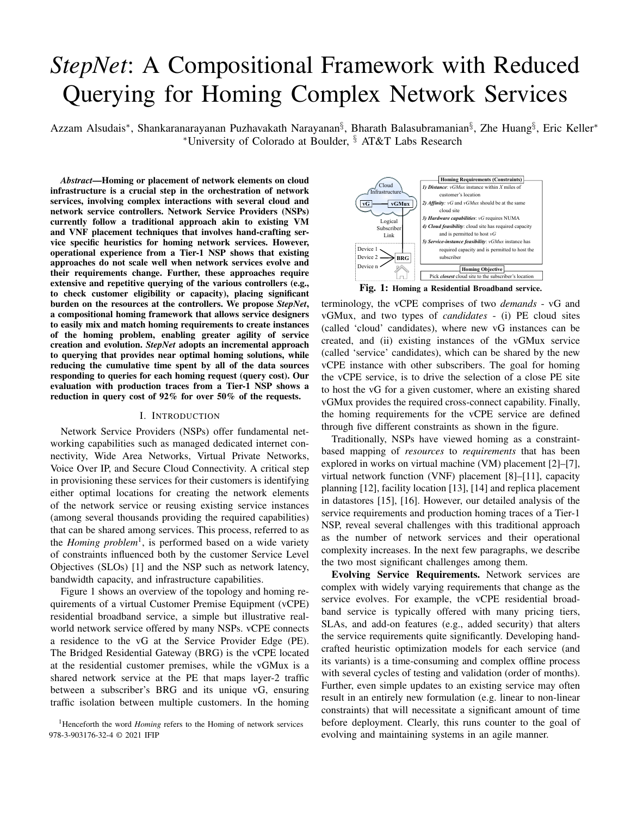# *StepNet*: A Compositional Framework with Reduced Querying for Homing Complex Network Services

Azzam Alsudais\*, Shankaranarayanan Puzhavakath Narayanan<sup>§</sup>, Bharath Balasubramanian<sup>§</sup>, Zhe Huang<sup>§</sup>, Eric Keller\* <sup>∗</sup>University of Colorado at Boulder, § AT&T Labs Research

*Abstract*—Homing or placement of network elements on cloud infrastructure is a crucial step in the orchestration of network services, involving complex interactions with several cloud and network service controllers. Network Service Providers (NSPs) currently follow a traditional approach akin to existing VM and VNF placement techniques that involves hand-crafting service specific heuristics for homing network services. However, operational experience from a Tier-1 NSP shows that existing approaches do not scale well when network services evolve and their requirements change. Further, these approaches require extensive and repetitive querying of the various controllers (e.g., to check customer eligibility or capacity), placing significant burden on the resources at the controllers. We propose *StepNet*, a compositional homing framework that allows service designers to easily mix and match homing requirements to create instances of the homing problem, enabling greater agility of service creation and evolution. *StepNet* adopts an incremental approach to querying that provides near optimal homing solutions, while reducing the cumulative time spent by all of the data sources responding to queries for each homing request (query cost). Our evaluation with production traces from a Tier-1 NSP shows a reduction in query cost of 92% for over 50% of the requests.

#### I. INTRODUCTION

Network Service Providers (NSPs) offer fundamental networking capabilities such as managed dedicated internet connectivity, Wide Area Networks, Virtual Private Networks, Voice Over IP, and Secure Cloud Connectivity. A critical step in provisioning these services for their customers is identifying either optimal locations for creating the network elements of the network service or reusing existing service instances (among several thousands providing the required capabilities) that can be shared among services. This process, referred to as the *Homing problem*<sup>1</sup> , is performed based on a wide variety of constraints influenced both by the customer Service Level Objectives (SLOs) [1] and the NSP such as network latency, bandwidth capacity, and infrastructure capabilities. proceds of our scale well when active<br>A correspondent of the various control services solve and the procedure<br>the requirements change. Further, these approaches require<br>
the choming choming referred in the controllers. We

Figure 1 shows an overview of the topology and homing requirements of a virtual Customer Premise Equipment (vCPE) residential broadband service, a simple but illustrative realworld network service offered by many NSPs. vCPE connects a residence to the vG at the Service Provider Edge (PE). The Bridged Residential Gateway (BRG) is the vCPE located at the residential customer premises, while the vGMux is a shared network service at the PE that maps layer-2 traffic between a subscriber's BRG and its unique vG, ensuring traffic isolation between multiple customers. In the homing



terminology, the vCPE comprises of two *demands* - vG and vGMux, and two types of *candidates* - (i) PE cloud sites (called 'cloud' candidates), where new vG instances can be created, and (ii) existing instances of the vGMux service (called 'service' candidates), which can be shared by the new vCPE instance with other subscribers. The goal for homing the vCPE service, is to drive the selection of a close PE site to host the vG for a given customer, where an existing shared vGMux provides the required cross-connect capability. Finally, the homing requirements for the vCPE service are defined through five different constraints as shown in the figure.

Traditionally, NSPs have viewed homing as a constraintbased mapping of *resources* to *requirements* that has been explored in works on virtual machine (VM) placement [2]–[7], virtual network function (VNF) placement [8]–[11], capacity planning [12], facility location [13], [14] and replica placement in datastores [15], [16]. However, our detailed analysis of the service requirements and production homing traces of a Tier-1 NSP, reveal several challenges with this traditional approach as the number of network services and their operational complexity increases. In the next few paragraphs, we describe the two most significant challenges among them.

Evolving Service Requirements. Network services are complex with widely varying requirements that change as the service evolves. For example, the vCPE residential broadband service is typically offered with many pricing tiers, SLAs, and add-on features (e.g., added security) that alters the service requirements quite significantly. Developing handcrafted heuristic optimization models for each service (and its variants) is a time-consuming and complex offline process with several cycles of testing and validation (order of months). Further, even simple updates to an existing service may often result in an entirely new formulation (e.g. linear to non-linear constraints) that will necessitate a significant amount of time before deployment. Clearly, this runs counter to the goal of

<sup>978-3-903176-32-4 © 2021</sup> IFIP evolving and maintaining systems in an agile manner.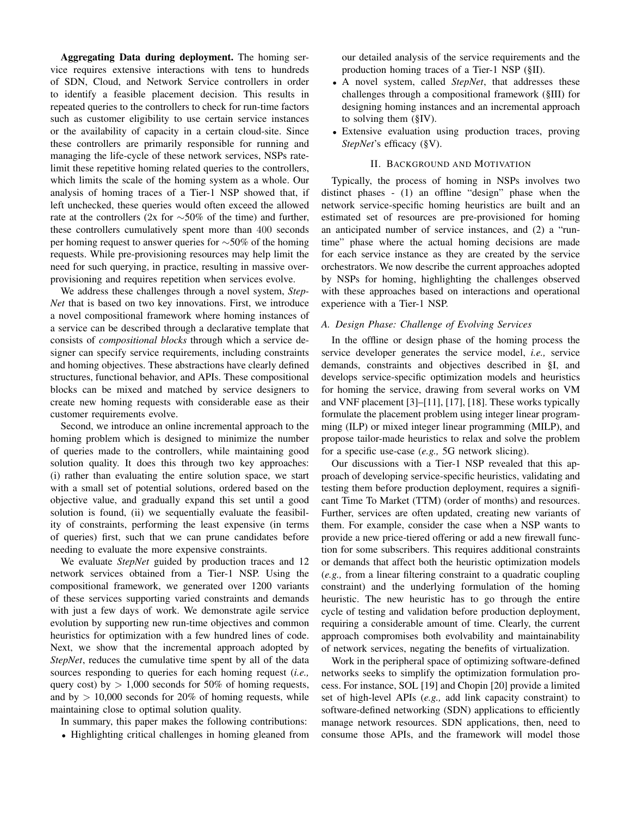Aggregating Data during deployment. The homing service requires extensive interactions with tens to hundreds of SDN, Cloud, and Network Service controllers in order to identify a feasible placement decision. This results in repeated queries to the controllers to check for run-time factors such as customer eligibility to use certain service instances or the availability of capacity in a certain cloud-site. Since these controllers are primarily responsible for running and managing the life-cycle of these network services, NSPs ratelimit these repetitive homing related queries to the controllers, which limits the scale of the homing system as a whole. Our analysis of homing traces of a Tier-1 NSP showed that, if left unchecked, these queries would often exceed the allowed rate at the controllers (2x for  $\sim$ 50% of the time) and further, these controllers cumulatively spent more than 400 seconds per homing request to answer queries for ∼50% of the homing requests. While pre-provisioning resources may help limit the need for such querying, in practice, resulting in massive overprovisioning and requires repetition when services evolve.

We address these challenges through a novel system, *Step-Net* that is based on two key innovations. First, we introduce a novel compositional framework where homing instances of a service can be described through a declarative template that consists of *compositional blocks* through which a service designer can specify service requirements, including constraints and homing objectives. These abstractions have clearly defined structures, functional behavior, and APIs. These compositional blocks can be mixed and matched by service designers to create new homing requests with considerable ease as their customer requirements evolve.

Second, we introduce an online incremental approach to the homing problem which is designed to minimize the number of queries made to the controllers, while maintaining good solution quality. It does this through two key approaches: (i) rather than evaluating the entire solution space, we start with a small set of potential solutions, ordered based on the objective value, and gradually expand this set until a good solution is found, (ii) we sequentially evaluate the feasibility of constraints, performing the least expensive (in terms of queries) first, such that we can prune candidates before needing to evaluate the more expensive constraints.

We evaluate *StepNet* guided by production traces and 12 network services obtained from a Tier-1 NSP. Using the compositional framework, we generated over 1200 variants of these services supporting varied constraints and demands with just a few days of work. We demonstrate agile service evolution by supporting new run-time objectives and common heuristics for optimization with a few hundred lines of code. Next, we show that the incremental approach adopted by *StepNet*, reduces the cumulative time spent by all of the data sources responding to queries for each homing request (*i.e.,* query cost) by  $> 1,000$  seconds for 50% of homing requests, and by  $> 10,000$  seconds for 20% of homing requests, while maintaining close to optimal solution quality.

In summary, this paper makes the following contributions:

• Highlighting critical challenges in homing gleaned from

our detailed analysis of the service requirements and the production homing traces of a Tier-1 NSP (§II).

- A novel system, called *StepNet*, that addresses these challenges through a compositional framework (§III) for designing homing instances and an incremental approach to solving them (§IV).
- Extensive evaluation using production traces, proving *StepNet*'s efficacy (§V).

## II. BACKGROUND AND MOTIVATION

Typically, the process of homing in NSPs involves two distinct phases - (1) an offline "design" phase when the network service-specific homing heuristics are built and an estimated set of resources are pre-provisioned for homing an anticipated number of service instances, and (2) a "runtime" phase where the actual homing decisions are made for each service instance as they are created by the service orchestrators. We now describe the current approaches adopted by NSPs for homing, highlighting the challenges observed with these approaches based on interactions and operational experience with a Tier-1 NSP.

# *A. Design Phase: Challenge of Evolving Services*

In the offline or design phase of the homing process the service developer generates the service model, *i.e.,* service demands, constraints and objectives described in §I, and develops service-specific optimization models and heuristics for homing the service, drawing from several works on VM and VNF placement [3]–[11], [17], [18]. These works typically formulate the placement problem using integer linear programming (ILP) or mixed integer linear programming (MILP), and propose tailor-made heuristics to relax and solve the problem for a specific use-case (*e.g.,* 5G network slicing).

Our discussions with a Tier-1 NSP revealed that this approach of developing service-specific heuristics, validating and testing them before production deployment, requires a significant Time To Market (TTM) (order of months) and resources. Further, services are often updated, creating new variants of them. For example, consider the case when a NSP wants to provide a new price-tiered offering or add a new firewall function for some subscribers. This requires additional constraints or demands that affect both the heuristic optimization models (*e.g.,* from a linear filtering constraint to a quadratic coupling constraint) and the underlying formulation of the homing heuristic. The new heuristic has to go through the entire cycle of testing and validation before production deployment, requiring a considerable amount of time. Clearly, the current approach compromises both evolvability and maintainability of network services, negating the benefits of virtualization.

Work in the peripheral space of optimizing software-defined networks seeks to simplify the optimization formulation process. For instance, SOL [19] and Chopin [20] provide a limited set of high-level APIs (*e.g.,* add link capacity constraint) to software-defined networking (SDN) applications to efficiently manage network resources. SDN applications, then, need to consume those APIs, and the framework will model those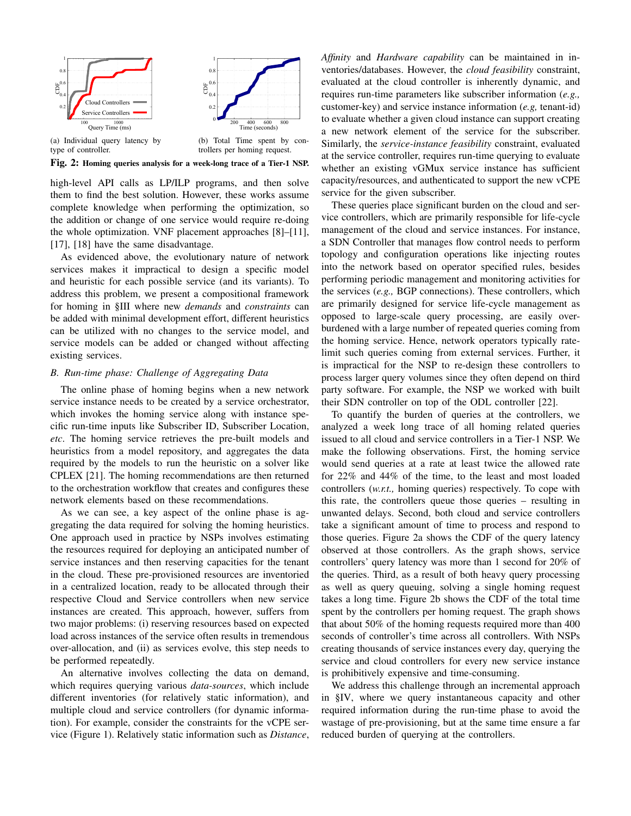

high-level API calls as LP/ILP programs, and then solve them to find the best solution. However, these works assume complete knowledge when performing the optimization, so the addition or change of one service would require re-doing the whole optimization. VNF placement approaches [8]–[11], [17], [18] have the same disadvantage.

As evidenced above, the evolutionary nature of network services makes it impractical to design a specific model and heuristic for each possible service (and its variants). To address this problem, we present a compositional framework for homing in §III where new *demands* and *constraints* can be added with minimal development effort, different heuristics can be utilized with no changes to the service model, and service models can be added or changed without affecting existing services.

## *B. Run-time phase: Challenge of Aggregating Data*

The online phase of homing begins when a new network service instance needs to be created by a service orchestrator, which invokes the homing service along with instance specific run-time inputs like Subscriber ID, Subscriber Location, *etc*. The homing service retrieves the pre-built models and heuristics from a model repository, and aggregates the data required by the models to run the heuristic on a solver like CPLEX [21]. The homing recommendations are then returned to the orchestration workflow that creates and configures these network elements based on these recommendations.

As we can see, a key aspect of the online phase is aggregating the data required for solving the homing heuristics. One approach used in practice by NSPs involves estimating the resources required for deploying an anticipated number of service instances and then reserving capacities for the tenant in the cloud. These pre-provisioned resources are inventoried in a centralized location, ready to be allocated through their respective Cloud and Service controllers when new service instances are created. This approach, however, suffers from two major problems: (i) reserving resources based on expected load across instances of the service often results in tremendous over-allocation, and (ii) as services evolve, this step needs to be performed repeatedly.

An alternative involves collecting the data on demand, which requires querying various *data-sources*, which include different inventories (for relatively static information), and multiple cloud and service controllers (for dynamic information). For example, consider the constraints for the vCPE service (Figure 1). Relatively static information such as *Distance*, *Affinity* and *Hardware capability* can be maintained in inventories/databases. However, the *cloud feasibility* constraint, evaluated at the cloud controller is inherently dynamic, and requires run-time parameters like subscriber information (*e.g.,* customer-key) and service instance information (*e.g,* tenant-id) to evaluate whether a given cloud instance can support creating a new network element of the service for the subscriber. Similarly, the *service-instance feasibility* constraint, evaluated at the service controller, requires run-time querying to evaluate whether an existing vGMux service instance has sufficient capacity/resources, and authenticated to support the new vCPE service for the given subscriber.

These queries place significant burden on the cloud and service controllers, which are primarily responsible for life-cycle management of the cloud and service instances. For instance, a SDN Controller that manages flow control needs to perform topology and configuration operations like injecting routes into the network based on operator specified rules, besides performing periodic management and monitoring activities for the services (*e.g.,* BGP connections). These controllers, which are primarily designed for service life-cycle management as opposed to large-scale query processing, are easily overburdened with a large number of repeated queries coming from the homing service. Hence, network operators typically ratelimit such queries coming from external services. Further, it is impractical for the NSP to re-design these controllers to process larger query volumes since they often depend on third party software. For example, the NSP we worked with built their SDN controller on top of the ODL controller [22].

To quantify the burden of queries at the controllers, we analyzed a week long trace of all homing related queries issued to all cloud and service controllers in a Tier-1 NSP. We make the following observations. First, the homing service would send queries at a rate at least twice the allowed rate for 22% and 44% of the time, to the least and most loaded controllers (*w.r.t.,* homing queries) respectively. To cope with this rate, the controllers queue those queries – resulting in unwanted delays. Second, both cloud and service controllers take a significant amount of time to process and respond to those queries. Figure 2a shows the CDF of the query latency observed at those controllers. As the graph shows, service controllers' query latency was more than 1 second for 20% of the queries. Third, as a result of both heavy query processing as well as query queuing, solving a single homing request takes a long time. Figure 2b shows the CDF of the total time spent by the controllers per homing request. The graph shows that about 50% of the homing requests required more than 400 seconds of controller's time across all controllers. With NSPs creating thousands of service instances every day, querying the service and cloud controllers for every new service instance is prohibitively expensive and time-consuming.

We address this challenge through an incremental approach in §IV, where we query instantaneous capacity and other required information during the run-time phase to avoid the wastage of pre-provisioning, but at the same time ensure a far reduced burden of querying at the controllers.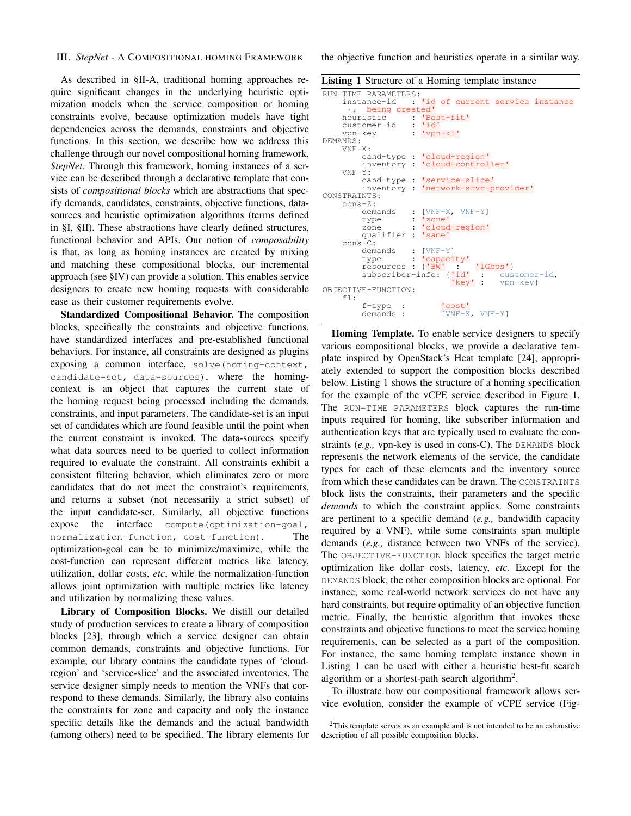## III. *StepNet* - A COMPOSITIONAL HOMING FRAMEWORK

As described in §II-A, traditional homing approaches require significant changes in the underlying heuristic optimization models when the service composition or homing constraints evolve, because optimization models have tight dependencies across the demands, constraints and objective functions. In this section, we describe how we address this challenge through our novel compositional homing framework, *StepNet*. Through this framework, homing instances of a service can be described through a declarative template that consists of *compositional blocks* which are abstractions that specify demands, candidates, constraints, objective functions, datasources and heuristic optimization algorithms (terms defined in §I, §II). These abstractions have clearly defined structures, functional behavior and APIs. Our notion of *composability* is that, as long as homing instances are created by mixing and matching these compositional blocks, our incremental approach (see §IV) can provide a solution. This enables service designers to create new homing requests with considerable ease as their customer requirements evolve.

Standardized Compositional Behavior. The composition blocks, specifically the constraints and objective functions, have standardized interfaces and pre-established functional behaviors. For instance, all constraints are designed as plugins exposing a common interface, solve (homing-context, candidate-set, data-sources), where the homingcontext is an object that captures the current state of the homing request being processed including the demands, constraints, and input parameters. The candidate-set is an input set of candidates which are found feasible until the point when the current constraint is invoked. The data-sources specify what data sources need to be queried to collect information required to evaluate the constraint. All constraints exhibit a consistent filtering behavior, which eliminates zero or more candidates that do not meet the constraint's requirements, and returns a subset (not necessarily a strict subset) of the input candidate-set. Similarly, all objective functions expose the interface compute(optimization-goal, normalization-function, cost-function). The optimization-goal can be to minimize/maximize, while the cost-function can represent different metrics like latency, utilization, dollar costs, *etc*, while the normalization-function allows joint optimization with multiple metrics like latency and utilization by normalizing these values.

Library of Composition Blocks. We distill our detailed study of production services to create a library of composition blocks [23], through which a service designer can obtain common demands, constraints and objective functions. For example, our library contains the candidate types of 'cloudregion' and 'service-slice' and the associated inventories. The service designer simply needs to mention the VNFs that correspond to these demands. Similarly, the library also contains the constraints for zone and capacity and only the instance specific details like the demands and the actual bandwidth (among others) need to be specified. The library elements for the objective function and heuristics operate in a similar way.

```
Listing 1 Structure of a Homing template instance
```

```
RUN-TIME PARAMETERS:
     instance-id : 'id of current service instance
     ,→ being created'
                      : 'Best-fit'<br>: 'id'
     customer-id<br>vpn-key
                        vpn-k1'DEMANDS:
     VNF-X:<br>cand-type :
                        'cloud-region'
          inventory : 'cloud-controller'
     VNF-Y:
          cand-type : 'service-slice'
          inventory : 'network-srvc-provider'
CONSTRAINTS:
     cons-Z:
          demands : [VNF-X, VNF-Y]<br>type : 'zone'
                      type :<br>type :<br>type :
          zone : 'cloud-region'<br>qualifier : 'same'
          qualifier :
     cons-C:
          demands : [VNF-Y]<br>type : 'capacity'
          resources : {'BW' : '1Gbps'}
subscriber-info: {'id' : customer-id,
                                'key' : vpn-key}
OBJECTIVE-FUNCTION:
     f1:
          f-type : 'cost'
          demands : [VNF-X, VNF-Y]
```
Homing Template. To enable service designers to specify various compositional blocks, we provide a declarative template inspired by OpenStack's Heat template [24], appropriately extended to support the composition blocks described below. Listing 1 shows the structure of a homing specification for the example of the vCPE service described in Figure 1. The RUN-TIME PARAMETERS block captures the run-time inputs required for homing, like subscriber information and authentication keys that are typically used to evaluate the constraints (*e.g.,* vpn-key is used in cons-C). The DEMANDS block represents the network elements of the service, the candidate types for each of these elements and the inventory source from which these candidates can be drawn. The CONSTRAINTS block lists the constraints, their parameters and the specific *demands* to which the constraint applies. Some constraints are pertinent to a specific demand (*e.g.,* bandwidth capacity required by a VNF), while some constraints span multiple demands (*e.g.,* distance between two VNFs of the service). The OBJECTIVE-FUNCTION block specifies the target metric optimization like dollar costs, latency, *etc*. Except for the DEMANDS block, the other composition blocks are optional. For instance, some real-world network services do not have any hard constraints, but require optimality of an objective function metric. Finally, the heuristic algorithm that invokes these constraints and objective functions to meet the service homing requirements, can be selected as a part of the composition. For instance, the same homing template instance shown in Listing 1 can be used with either a heuristic best-fit search algorithm or a shortest-path search algorithm<sup>2</sup>.

To illustrate how our compositional framework allows service evolution, consider the example of vCPE service (Fig-

<sup>&</sup>lt;sup>2</sup>This template serves as an example and is not intended to be an exhaustive description of all possible composition blocks.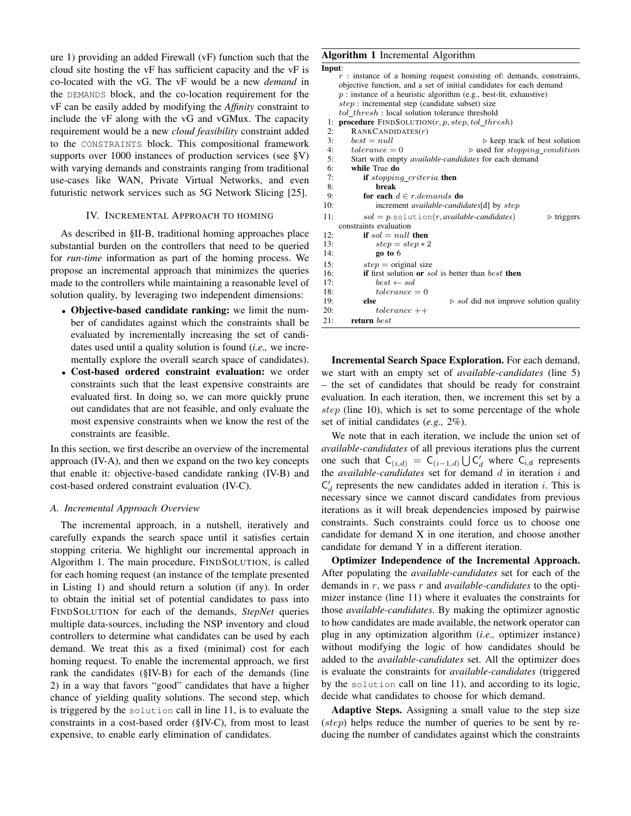ure 1) providing an added Firewall (vF) function such that the cloud site hosting the vF has sufficient capacity and the vF is co-located with the vG. The vF would be a new *demand* in the DEMANDS block, and the co-location requirement for the vF can be easily added by modifying the *Affinity* constraint to include the vF along with the vG and vGMux. The capacity requirement would be a new *cloud feasibility* constraint added to the CONSTRAINTS block. This compositional framework supports over 1000 instances of production services (see §V) with varying demands and constraints ranging from traditional use-cases like WAN, Private Virtual Networks, and even futuristic network services such as 5G Network Slicing [25].

## IV. INCREMENTAL APPROACH TO HOMING

As described in §II-B, traditional homing approaches place substantial burden on the controllers that need to be queried for *run-time* information as part of the homing process. We propose an incremental approach that minimizes the queries made to the controllers while maintaining a reasonable level of solution quality, by leveraging two independent dimensions:

- Objective-based candidate ranking: we limit the number of candidates against which the constraints shall be evaluated by incrementally increasing the set of candidates used until a quality solution is found (*i.e.,* we incrementally explore the overall search space of candidates).
- Cost-based ordered constraint evaluation: we order constraints such that the least expensive constraints are evaluated first. In doing so, we can more quickly prune out candidates that are not feasible, and only evaluate the most expensive constraints when we know the rest of the constraints are feasible.

In this section, we first describe an overview of the incremental approach (IV-A), and then we expand on the two key concepts that enable it: objective-based candidate ranking (IV-B) and cost-based ordered constraint evaluation (IV-C).

## *A. Incremental Approach Overview*

The incremental approach, in a nutshell, iteratively and carefully expands the search space until it satisfies certain stopping criteria. We highlight our incremental approach in Algorithm 1. The main procedure, FINDSOLUTION, is called for each homing request (an instance of the template presented in Listing 1) and should return a solution (if any). In order to obtain the initial set of potential candidates to pass into FINDSOLUTION for each of the demands, *StepNet* queries multiple data-sources, including the NSP inventory and cloud controllers to determine what candidates can be used by each demand. We treat this as a fixed (minimal) cost for each homing request. To enable the incremental approach, we first rank the candidates (§IV-B) for each of the demands (line 2) in a way that favors "good" candidates that have a higher chance of yielding quality solutions. The second step, which is triggered by the solution call in line 11, is to evaluate the constraints in a cost-based order (§IV-C), from most to least expensive, to enable early elimination of candidates.

# Algorithm 1 Incremental Algorithm

| Input:                                                                        |
|-------------------------------------------------------------------------------|
| $r$ : instance of a homing request consisting of: demands, constraints,       |
| objective function, and a set of initial candidates for each demand           |
| $p$ : instance of a heuristic algorithm (e.g., best-fit, exhaustive)          |
| $step:$ incremental step (candidate subset) size                              |
| tol_thresh: local solution tolerance threshold                                |
| <b>procedure</b> $\text{FINDSOLUTION}(r, p, \text{step}, \text{tol\_thresh})$ |
| RANKCANDIDATES(r)                                                             |
| $best = null$<br>$\triangleright$ keep track of best solution                 |
| $tolerance = 0$<br>$\triangleright$ used for stopping_condition               |
| Start with empty <i>available-candidates</i> for each demand                  |
| while True do                                                                 |
| <b>if</b> stopping_criteria <b>then</b>                                       |
| break                                                                         |
| for each $d \in r$ demands do                                                 |
| increment <i>available-candidates</i> [d] by <i>step</i>                      |
| $sol = p$ .solution(r, available-candidates)<br>$\triangleright$ triggers     |
| constraints evaluation                                                        |
| if $sol = null$ then                                                          |
| $step = step * 2$                                                             |
| go to 6                                                                       |
| $step = original size$                                                        |
| <b>if</b> first solution or sol is better than best then                      |
| $best \leftarrow sol$                                                         |
| $tolerance = 0$                                                               |
| $\triangleright$ sol did not improve solution quality<br>else                 |
| $tolerance++$                                                                 |
| return best                                                                   |
|                                                                               |

Incremental Search Space Exploration. For each demand, we start with an empty set of *available-candidates* (line 5) – the set of candidates that should be ready for constraint evaluation. In each iteration, then, we increment this set by a step (line 10), which is set to some percentage of the whole set of initial candidates (*e.g.,* 2%).

We note that in each iteration, we include the union set of *available-candidates* of all previous iterations plus the current one such that  $C_{(i,d)} = C_{(i-1,d)} \bigcup C'_d$  where  $C_{i,d}$  represents the *available-candidates* set for demand d in iteration i and  $C_d$  represents the new candidates added in iteration *i*. This is necessary since we cannot discard candidates from previous iterations as it will break dependencies imposed by pairwise constraints. Such constraints could force us to choose one candidate for demand X in one iteration, and choose another candidate for demand Y in a different iteration.

Optimizer Independence of the Incremental Approach. After populating the *available-candidates* set for each of the demands in r, we pass r and *available-candidates* to the optimizer instance (line 11) where it evaluates the constraints for those *available-candidates*. By making the optimizer agnostic to how candidates are made available, the network operator can plug in any optimization algorithm (*i.e.,* optimizer instance) without modifying the logic of how candidates should be added to the *available-candidates* set. All the optimizer does is evaluate the constraints for *available-candidates* (triggered by the solution call on line 11), and according to its logic, decide what candidates to choose for which demand.

Adaptive Steps. Assigning a small value to the step size (step) helps reduce the number of queries to be sent by reducing the number of candidates against which the constraints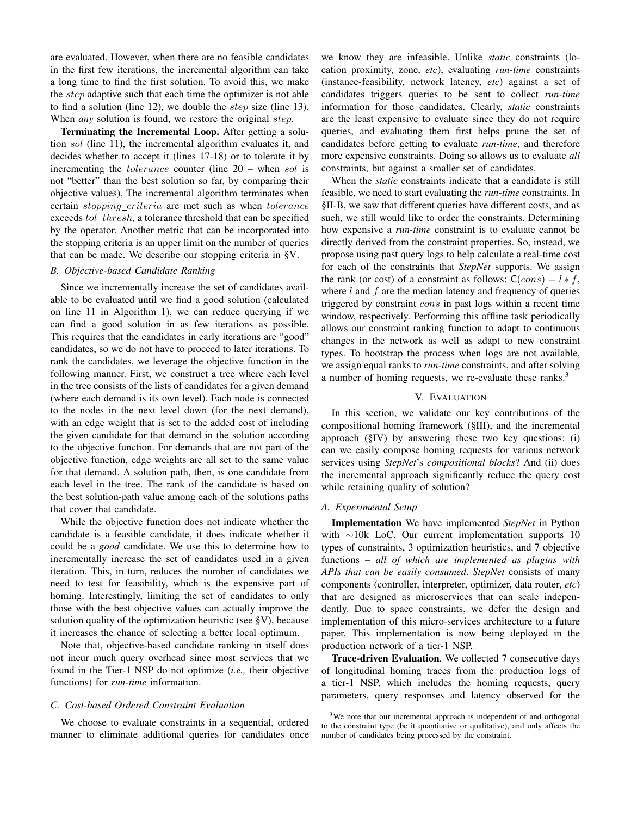are evaluated. However, when there are no feasible candidates in the first few iterations, the incremental algorithm can take a long time to find the first solution. To avoid this, we make the *step* adaptive such that each time the optimizer is not able to find a solution (line 12), we double the *step* size (line 13). When *any* solution is found, we restore the original *step*.

Terminating the Incremental Loop. After getting a solution sol (line 11), the incremental algorithm evaluates it, and decides whether to accept it (lines 17-18) or to tolerate it by incrementing the *tolerance* counter (line 20 – when sol is not "better" than the best solution so far, by comparing their objective values). The incremental algorithm terminates when certain *stopping\_criteria* are met such as when *tolerance* exceeds tol\_thresh, a tolerance threshold that can be specified by the operator. Another metric that can be incorporated into the stopping criteria is an upper limit on the number of queries that can be made. We describe our stopping criteria in §V.

# *B. Objective-based Candidate Ranking*

Since we incrementally increase the set of candidates available to be evaluated until we find a good solution (calculated on line 11 in Algorithm 1), we can reduce querying if we can find a good solution in as few iterations as possible. This requires that the candidates in early iterations are "good" candidates, so we do not have to proceed to later iterations. To rank the candidates, we leverage the objective function in the following manner. First, we construct a tree where each level in the tree consists of the lists of candidates for a given demand (where each demand is its own level). Each node is connected to the nodes in the next level down (for the next demand), with an edge weight that is set to the added cost of including the given candidate for that demand in the solution according to the objective function. For demands that are not part of the objective function, edge weights are all set to the same value for that demand. A solution path, then, is one candidate from each level in the tree. The rank of the candidate is based on the best solution-path value among each of the solutions paths that cover that candidate.

While the objective function does not indicate whether the candidate is a feasible candidate, it does indicate whether it could be a *good* candidate. We use this to determine how to incrementally increase the set of candidates used in a given iteration. This, in turn, reduces the number of candidates we need to test for feasibility, which is the expensive part of homing. Interestingly, limiting the set of candidates to only those with the best objective values can actually improve the solution quality of the optimization heuristic (see §V), because it increases the chance of selecting a better local optimum.

Note that, objective-based candidate ranking in itself does not incur much query overhead since most services that we found in the Tier-1 NSP do not optimize (*i.e.,* their objective functions) for *run-time* information.

## *C. Cost-based Ordered Constraint Evaluation*

We choose to evaluate constraints in a sequential, ordered manner to eliminate additional queries for candidates once

we know they are infeasible. Unlike *static* constraints (location proximity, zone, *etc*), evaluating *run-time* constraints (instance-feasibility, network latency, *etc*) against a set of candidates triggers queries to be sent to collect *run-time* information for those candidates. Clearly, *static* constraints are the least expensive to evaluate since they do not require queries, and evaluating them first helps prune the set of candidates before getting to evaluate *run-time*, and therefore more expensive constraints. Doing so allows us to evaluate *all* constraints, but against a smaller set of candidates.

When the *static* constraints indicate that a candidate is still feasible, we need to start evaluating the *run-time* constraints. In §II-B, we saw that different queries have different costs, and as such, we still would like to order the constraints. Determining how expensive a *run-time* constraint is to evaluate cannot be directly derived from the constraint properties. So, instead, we propose using past query logs to help calculate a real-time cost for each of the constraints that *StepNet* supports. We assign the rank (or cost) of a constraint as follows:  $C(cons) = l * f$ , where  $l$  and  $f$  are the median latency and frequency of queries triggered by constraint cons in past logs within a recent time window, respectively. Performing this offline task periodically allows our constraint ranking function to adapt to continuous changes in the network as well as adapt to new constraint types. To bootstrap the process when logs are not available, we assign equal ranks to *run-time* constraints, and after solving a number of homing requests, we re-evaluate these ranks.<sup>3</sup>

## V. EVALUATION

In this section, we validate our key contributions of the compositional homing framework (§III), and the incremental approach (§IV) by answering these two key questions: (i) can we easily compose homing requests for various network services using *StepNet*'s *compositional blocks*? And (ii) does the incremental approach significantly reduce the query cost while retaining quality of solution?

# *A. Experimental Setup*

Implementation We have implemented *StepNet* in Python with ∼10k LoC. Our current implementation supports 10 types of constraints, 3 optimization heuristics, and 7 objective functions – *all of which are implemented as plugins with APIs that can be easily consumed*. *StepNet* consists of many components (controller, interpreter, optimizer, data router, *etc*) that are designed as microservices that can scale independently. Due to space constraints, we defer the design and implementation of this micro-services architecture to a future paper. This implementation is now being deployed in the production network of a tier-1 NSP.

Trace-driven Evaluation. We collected 7 consecutive days of longitudinal homing traces from the production logs of a tier-1 NSP, which includes the homing requests, query parameters, query responses and latency observed for the

 $3$ We note that our incremental approach is independent of and orthogonal to the constraint type (be it quantitative or qualitative), and only affects the number of candidates being processed by the constraint.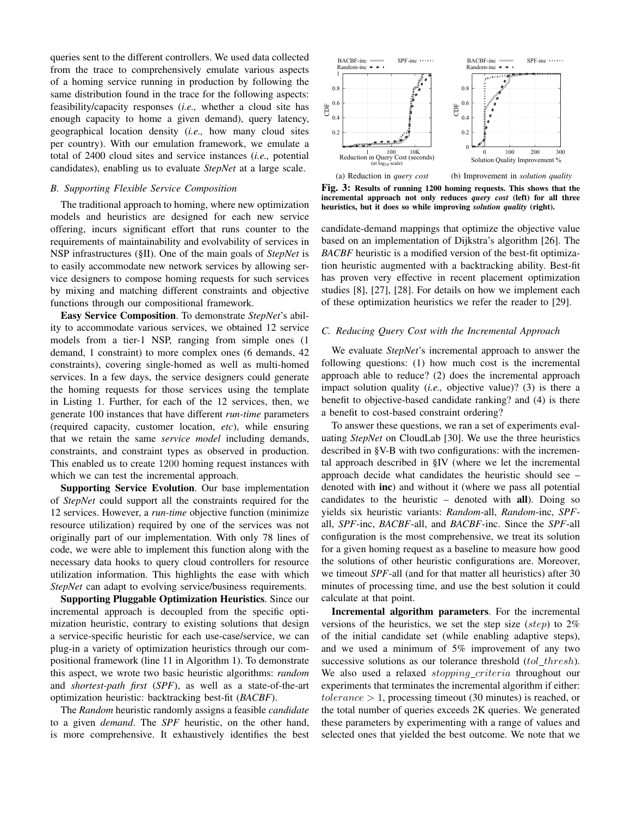queries sent to the different controllers. We used data collected from the trace to comprehensively emulate various aspects of a homing service running in production by following the same distribution found in the trace for the following aspects: feasibility/capacity responses (*i.e.,* whether a cloud site has enough capacity to home a given demand), query latency, geographical location density (*i.e.,* how many cloud sites per country). With our emulation framework, we emulate a total of 2400 cloud sites and service instances (*i.e.,* potential candidates), enabling us to evaluate *StepNet* at a large scale.

# *B. Supporting Flexible Service Composition*

The traditional approach to homing, where new optimization models and heuristics are designed for each new service offering, incurs significant effort that runs counter to the requirements of maintainability and evolvability of services in NSP infrastructures (§II). One of the main goals of *StepNet* is to easily accommodate new network services by allowing service designers to compose homing requests for such services by mixing and matching different constraints and objective functions through our compositional framework.

Easy Service Composition. To demonstrate *StepNet*'s ability to accommodate various services, we obtained 12 service models from a tier-1 NSP, ranging from simple ones (1 demand, 1 constraint) to more complex ones (6 demands, 42 constraints), covering single-homed as well as multi-homed services. In a few days, the service designers could generate the homing requests for those services using the template in Listing 1. Further, for each of the 12 services, then, we generate 100 instances that have different *run-time* parameters (required capacity, customer location, *etc*), while ensuring that we retain the same *service model* including demands, constraints, and constraint types as observed in production. This enabled us to create 1200 homing request instances with which we can test the incremental approach.

Supporting Service Evolution. Our base implementation of *StepNet* could support all the constraints required for the 12 services. However, a *run-time* objective function (minimize resource utilization) required by one of the services was not originally part of our implementation. With only 78 lines of code, we were able to implement this function along with the necessary data hooks to query cloud controllers for resource utilization information. This highlights the ease with which *StepNet* can adapt to evolving service/business requirements.

Supporting Pluggable Optimization Heuristics. Since our incremental approach is decoupled from the specific optimization heuristic, contrary to existing solutions that design a service-specific heuristic for each use-case/service, we can plug-in a variety of optimization heuristics through our compositional framework (line 11 in Algorithm 1). To demonstrate this aspect, we wrote two basic heuristic algorithms: *random* and *shortest-path first* (*SPF*), as well as a state-of-the-art optimization heuristic: backtracking best-fit (*BACBF*).

The *Random* heuristic randomly assigns a feasible *candidate* to a given *demand*. The *SPF* heuristic, on the other hand, is more comprehensive. It exhaustively identifies the best



Fig. 3: Results of running 1200 homing requests. This shows that the incremental approach not only reduces *query cost* (left) for all three heuristics, but it does so while improving *solution quality* (right).

candidate-demand mappings that optimize the objective value based on an implementation of Dijkstra's algorithm [26]. The *BACBF* heuristic is a modified version of the best-fit optimization heuristic augmented with a backtracking ability. Best-fit has proven very effective in recent placement optimization studies [8], [27], [28]. For details on how we implement each of these optimization heuristics we refer the reader to [29].

#### *C. Reducing Query Cost with the Incremental Approach*

We evaluate *StepNet*'s incremental approach to answer the following questions: (1) how much cost is the incremental approach able to reduce? (2) does the incremental approach impact solution quality (*i.e.,* objective value)? (3) is there a benefit to objective-based candidate ranking? and (4) is there a benefit to cost-based constraint ordering?

To answer these questions, we ran a set of experiments evaluating *StepNet* on CloudLab [30]. We use the three heuristics described in §V-B with two configurations: with the incremental approach described in §IV (where we let the incremental approach decide what candidates the heuristic should see – denoted with inc) and without it (where we pass all potential candidates to the heuristic – denoted with all). Doing so yields six heuristic variants: *Random*-all, *Random*-inc, *SPF*all, *SPF*-inc, *BACBF*-all, and *BACBF*-inc. Since the *SPF*-all configuration is the most comprehensive, we treat its solution for a given homing request as a baseline to measure how good the solutions of other heuristic configurations are. Moreover, we timeout *SPF*-all (and for that matter all heuristics) after 30 minutes of processing time, and use the best solution it could calculate at that point.

Incremental algorithm parameters. For the incremental versions of the heuristics, we set the step size (step) to 2% of the initial candidate set (while enabling adaptive steps), and we used a minimum of 5% improvement of any two successive solutions as our tolerance threshold  $(tol\_thresh)$ . We also used a relaxed *stopping\_criteria* throughout our experiments that terminates the incremental algorithm if either:  $tolerance > 1$ , processing timeout (30 minutes) is reached, or the total number of queries exceeds 2K queries. We generated these parameters by experimenting with a range of values and selected ones that yielded the best outcome. We note that we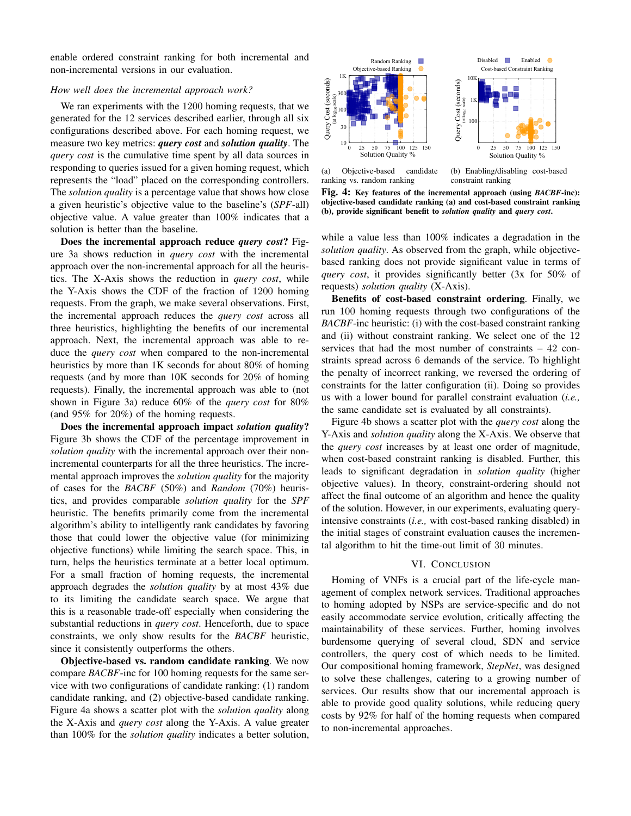enable ordered constraint ranking for both incremental and non-incremental versions in our evaluation.

## *How well does the incremental approach work?*

We ran experiments with the 1200 homing requests, that we generated for the 12 services described earlier, through all six configurations described above. For each homing request, we measure two key metrics: *query cost* and *solution quality*. The *query cost* is the cumulative time spent by all data sources in responding to queries issued for a given homing request, which represents the "load" placed on the corresponding controllers. The *solution quality* is a percentage value that shows how close a given heuristic's objective value to the baseline's (*SPF*-all) objective value. A value greater than 100% indicates that a solution is better than the baseline.

Does the incremental approach reduce *query cost*? Figure 3a shows reduction in *query cost* with the incremental approach over the non-incremental approach for all the heuristics. The X-Axis shows the reduction in *query cost*, while the Y-Axis shows the CDF of the fraction of 1200 homing requests. From the graph, we make several observations. First, the incremental approach reduces the *query cost* across all three heuristics, highlighting the benefits of our incremental approach. Next, the incremental approach was able to reduce the *query cost* when compared to the non-incremental heuristics by more than 1K seconds for about 80% of homing requests (and by more than 10K seconds for 20% of homing requests). Finally, the incremental approach was able to (not shown in Figure 3a) reduce 60% of the *query cost* for 80% (and 95% for 20%) of the homing requests.

Does the incremental approach impact *solution quality*? Figure 3b shows the CDF of the percentage improvement in *solution quality* with the incremental approach over their nonincremental counterparts for all the three heuristics. The incremental approach improves the *solution quality* for the majority of cases for the *BACBF* (50%) and *Random* (70%) heuristics, and provides comparable *solution quality* for the *SPF* heuristic. The benefits primarily come from the incremental algorithm's ability to intelligently rank candidates by favoring those that could lower the objective value (for minimizing objective functions) while limiting the search space. This, in turn, helps the heuristics terminate at a better local optimum. For a small fraction of homing requests, the incremental approach degrades the *solution quality* by at most 43% due to its limiting the candidate search space. We argue that this is a reasonable trade-off especially when considering the substantial reductions in *query cost*. Henceforth, due to space constraints, we only show results for the *BACBF* heuristic, since it consistently outperforms the others.

Objective-based vs. random candidate ranking. We now compare *BACBF*-inc for 100 homing requests for the same service with two configurations of candidate ranking: (1) random candidate ranking, and (2) objective-based candidate ranking. Figure 4a shows a scatter plot with the *solution quality* along the X-Axis and *query cost* along the Y-Axis. A value greater than 100% for the *solution quality* indicates a better solution,



(a) Objective-based candidate ranking vs. random ranking

(b) Enabling/disabling cost-based constraint ranking

Fig. 4: Key features of the incremental approach (using *BACBF*-inc): objective-based candidate ranking (a) and cost-based constraint ranking (b), provide significant benefit to *solution quality* and *query cost*.

while a value less than 100% indicates a degradation in the *solution quality*. As observed from the graph, while objectivebased ranking does not provide significant value in terms of *query cost*, it provides significantly better (3x for 50% of requests) *solution quality* (X-Axis).

Benefits of cost-based constraint ordering. Finally, we run 100 homing requests through two configurations of the *BACBF*-inc heuristic: (i) with the cost-based constraint ranking and (ii) without constraint ranking. We select one of the 12 services that had the most number of constraints – 42 constraints spread across 6 demands of the service. To highlight the penalty of incorrect ranking, we reversed the ordering of constraints for the latter configuration (ii). Doing so provides us with a lower bound for parallel constraint evaluation (*i.e.,* the same candidate set is evaluated by all constraints).

Figure 4b shows a scatter plot with the *query cost* along the Y-Axis and *solution quality* along the X-Axis. We observe that the *query cost* increases by at least one order of magnitude, when cost-based constraint ranking is disabled. Further, this leads to significant degradation in *solution quality* (higher objective values). In theory, constraint-ordering should not affect the final outcome of an algorithm and hence the quality of the solution. However, in our experiments, evaluating queryintensive constraints (*i.e.,* with cost-based ranking disabled) in the initial stages of constraint evaluation causes the incremental algorithm to hit the time-out limit of 30 minutes.

#### VI. CONCLUSION

Homing of VNFs is a crucial part of the life-cycle management of complex network services. Traditional approaches to homing adopted by NSPs are service-specific and do not easily accommodate service evolution, critically affecting the maintainability of these services. Further, homing involves burdensome querying of several cloud, SDN and service controllers, the query cost of which needs to be limited. Our compositional homing framework, *StepNet*, was designed to solve these challenges, catering to a growing number of services. Our results show that our incremental approach is able to provide good quality solutions, while reducing query costs by 92% for half of the homing requests when compared to non-incremental approaches.